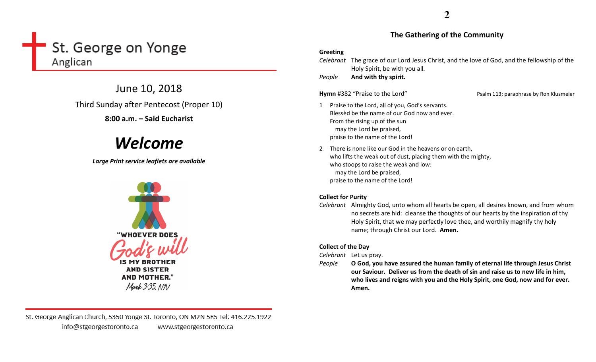# St. George on Yonge Anglican

June 10, 2018 Third Sunday after Pentecost (Proper 10)

8:00 a.m. – Said Eucharist

# Welcome

Large Print service leaflets are available



**AND SISTER AND MOTHER."** Mark 3:35, NIV

**2**

### The Gathering of the Community

#### Greeting

Celebrant The grace of our Lord Jesus Christ, and the love of God, and the fellowship of the Holy Spirit, be with you all.

PeopleAnd with thy spirit.

**Hymn** #382 "Praise to the Lord" Psalm 113; paraphrase by Ron Klusmeier

- 1 Praise to the Lord, all of you, God's servants. Blessèd be the name of our God now and ever. From the rising up of the sun may the Lord be praised, praise to the name of the Lord!
- 2 There is none like our God in the heavens or on earth, who lifts the weak out of dust, placing them with the mighty, who stoops to raise the weak and low: may the Lord be praised, praise to the name of the Lord!

### Collect for Purity

Celebrant Almighty God, unto whom all hearts be open, all desires known, and from whom no secrets are hid: cleanse the thoughts of our hearts by the inspiration of thy Holy Spirit, that we may perfectly love thee, and worthily magnify thy holy name; through Christ our Lord. Amen.

## Collect of the Day

Celebrant Let us pray.

People O God, you have assured the human family of eternal life through Jesus Christ our Saviour. Deliver us from the death of sin and raise us to new life in him, who lives and reigns with you and the Holy Spirit, one God, now and for ever. Amen.

St. George Anglican Church, 5350 Yonge St. Toronto, ON M2N 5R5 Tel: 416.225.1922 info@stgeorgestoronto.ca www.stgeorgestoronto.ca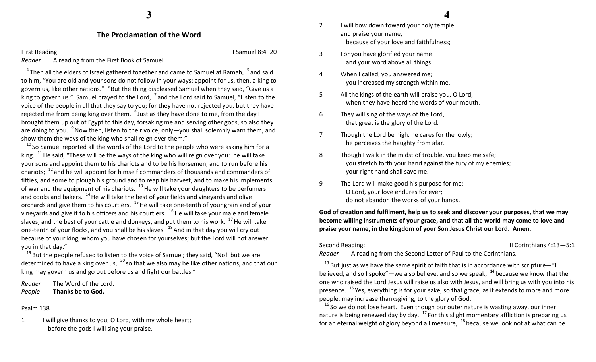#### The Proclamation of the Word

First Reading: **I Samuel 8:4–20** Reader A reading from the First Book of Samuel.

 $4$ Then all the elders of Israel gathered together and came to Samuel at Ramah,  $5$  and said to him, "You are old and your sons do not follow in your ways; appoint for us, then, a king to govern us, like other nations." <sup>6</sup> But the thing displeased Samuel when they said, "Give us a king to govern us." Samuel prayed to the Lord,  $\frac{7}{1}$  and the Lord said to Samuel, "Listen to the voice of the people in all that they say to you; for they have not rejected you, but they have rejected me from being king over them.  $^{8}$  Just as they have done to me, from the day I brought them up out of Egypt to this day, forsaking me and serving other gods, so also they are doing to you. <sup>9</sup> Now then, listen to their voice; only—you shall solemnly warn them, and show them the ways of the king who shall reign over them."

 $^{10}$  So Samuel reported all the words of the Lord to the people who were asking him for a king.  $11$  He said, "These will be the ways of the king who will reign over you: he will take your sons and appoint them to his chariots and to be his horsemen, and to run before his chariots;  $^{12}$  and he will appoint for himself commanders of thousands and commanders of fifties, and some to plough his ground and to reap his harvest, and to make his implements of war and the equipment of his chariots.  $13$  He will take your daughters to be perfumers and cooks and bakers.  $14$  He will take the best of your fields and vineyards and olive orchards and give them to his courtiers.  $15$  He will take one-tenth of your grain and of your vineyards and give it to his officers and his courtiers.  $16$  He will take your male and female slaves, and the best of your cattle and donkeys, and put them to his work.  $17$  He will take one-tenth of your flocks, and you shall be his slaves. <sup>18</sup> And in that day you will cry out because of your king, whom you have chosen for yourselves; but the Lord will not answer you in that day."

 $19$  But the people refused to listen to the voice of Samuel; they said, "No! but we are determined to have a king over us,  $^{20}$  so that we also may be like other nations, and that our king may govern us and go out before us and fight our battles."

Reader The Word of the Lord. PeopleThanks be to God.

#### Psalm 138

1 I will give thanks to you, O Lord, with my whole heart; before the gods I will sing your praise.

- 2 I will bow down toward your holy temple and praise your name, because of your love and faithfulness;
- 3 For you have glorified your name and your word above all things.
- 4 When I called, you answered me; you increased my strength within me.
- 5 All the kings of the earth will praise you, O Lord, when they have heard the words of your mouth.
- 6 They will sing of the ways of the Lord, that great is the glory of the Lord.
- 7 Though the Lord be high, he cares for the lowly; he perceives the haughty from afar.
- 8 Though I walk in the midst of trouble, you keep me safe; you stretch forth your hand against the fury of my enemies; your right hand shall save me.
- 9 The Lord will make good his purpose for me; O Lord, your love endures for ever; do not abandon the works of your hands.

God of creation and fulfilment, help us to seek and discover your purposes, that we may become willing instruments of your grace, and that all the world may come to love and praise your name, in the kingdom of your Son Jesus Christ our Lord. Amen.

Second Reading: The Corinthians 4:13-5:1

Reader A reading from the Second Letter of Paul to the Corinthians.

 $13$  But just as we have the same spirit of faith that is in accordance with scripture—"I believed, and so I spoke"—we also believe, and so we speak,  $14$  because we know that the one who raised the Lord Jesus will raise us also with Jesus, and will bring us with you into his presence.  $15$  Yes, everything is for your sake, so that grace, as it extends to more and more people, may increase thanksgiving, to the glory of God.

 $^{16}$  So we do not lose heart. Even though our outer nature is wasting away, our inner nature is being renewed day by day.  $17$  For this slight momentary affliction is preparing us for an eternal weight of glory beyond all measure,  $18$  because we look not at what can be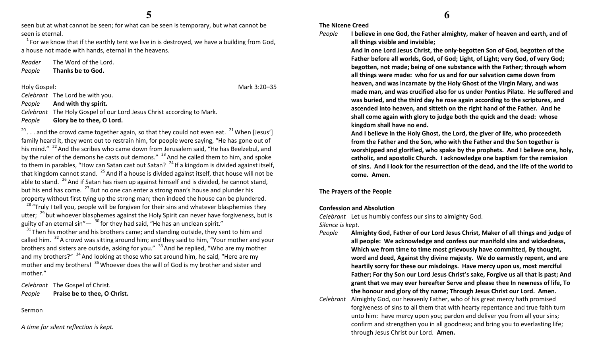seen but at what cannot be seen; for what can be seen is temporary, but what cannot be seen is eternal.

 $1$  For we know that if the earthly tent we live in is destroyed, we have a building from God, a house not made with hands, eternal in the heavens.

Reader The Word of the Lord.

PeopleThanks be to God.

Holy Gospel: Mark 3:20–35

Celebrant The Lord be with you.

#### PeopleAnd with thy spirit.

Celebrant The Holy Gospel of our Lord Jesus Christ according to Mark.

PeopleGlory be to thee, O Lord.

 $20$ ... and the crowd came together again, so that they could not even eat.  $21$  When [Jesus'] family heard it, they went out to restrain him, for people were saying, "He has gone out of his mind."  $^{22}$  And the scribes who came down from Jerusalem said, "He has Beelzebul, and by the ruler of the demons he casts out demons."  $^{23}$  And he called them to him, and spoke to them in parables, "How can Satan cast out Satan?  $24$  If a kingdom is divided against itself, that kingdom cannot stand.  $^{25}$  And if a house is divided against itself, that house will not be able to stand.  $^{26}$  And if Satan has risen up against himself and is divided, he cannot stand, but his end has come.  $^{27}$  But no one can enter a strong man's house and plunder his property without first tying up the strong man; then indeed the house can be plundered.

 $^{28}$  "Truly I tell you, people will be forgiven for their sins and whatever blasphemies they utter;  $^{29}$  but whoever blasphemes against the Holy Spirit can never have forgiveness, but is guilty of an eternal sin" $-$ <sup>30</sup> for they had said, "He has an unclean spirit."

 $31$ Then his mother and his brothers came; and standing outside, they sent to him and called him.  $32$  A crowd was sitting around him; and they said to him, "Your mother and your brothers and sisters are outside, asking for you."  $33$  And he replied, "Who are my mother and my brothers?"  $34$  And looking at those who sat around him, he said, "Here are my mother and my brothers!  $35$  Whoever does the will of God is my brother and sister and mother."

Celebrant The Gospel of Christ. PeoplePraise be to thee, O Christ.

Sermon

A time for silent reflection is kept.

## **6**

The Nicene Creed I believe in one God, the Father almighty, maker of heaven and earth, and of

## People

And in one Lord Jesus Christ, the only-begotten Son of God, begotten of the Father before all worlds, God, of God; Light, of Light; very God, of very God; begotten, not made; being of one substance with the Father; through whom all things were made: who for us and for our salvation came down from heaven, and was incarnate by the Holy Ghost of the Virgin Mary, and was made man, and was crucified also for us under Pontius Pilate. He suffered and was buried, and the third day he rose again according to the scriptures, and ascended into heaven, and sitteth on the right hand of the Father. And he shall come again with glory to judge both the quick and the dead: whose kingdom shall have no end.

And I believe in the Holy Ghost, the Lord, the giver of life, who proceedeth from the Father and the Son, who with the Father and the Son together is worshipped and glorified, who spake by the prophets. And I believe one, holy, catholic, and apostolic Church. I acknowledge one baptism for the remission of sins. And I look for the resurrection of the dead, and the life of the world to come. Amen.

The Prayers of the People

#### Confession and Absolution

Celebrant Let us humbly confess our sins to almighty God.

all things visible and invisible;

Silence is kept.

- People Almighty God, Father of our Lord Jesus Christ, Maker of all things and judge of all people: We acknowledge and confess our manifold sins and wickedness, Which we from time to time most grievously have committed, By thought, word and deed, Against thy divine majesty. We do earnestly repent, and are heartily sorry for these our misdoings. Have mercy upon us, most merciful Father; For thy Son our Lord Jesus Christ's sake, Forgive us all that is past; And grant that we may ever hereafter Serve and please thee In newness of life, To the honour and glory of thy name; Through Jesus Christ our Lord. Amen.
- Celebrant Almighty God, our heavenly Father, who of his great mercy hath promised forgiveness of sins to all them that with hearty repentance and true faith turn unto him: have mercy upon you; pardon and deliver you from all your sins; confirm and strengthen you in all goodness; and bring you to everlasting life; through Jesus Christ our Lord. Amen.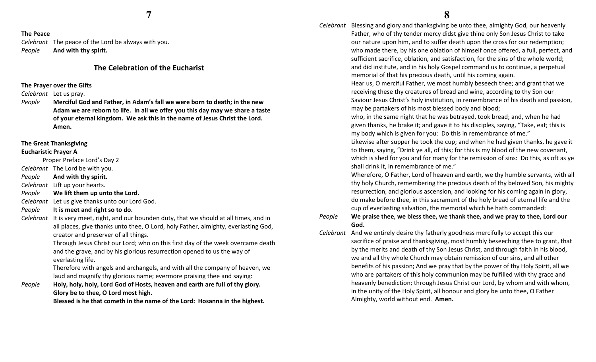#### The Peace

Celebrant The peace of the Lord be always with you. PeopleAnd with thy spirit.

#### The Celebration of the Eucharist

#### The Prayer over the Gifts

Celebrant Let us pray.

People Merciful God and Father, in Adam's fall we were born to death; in the new Adam we are reborn to life. In all we offer you this day may we share a taste of your eternal kingdom. We ask this in the name of Jesus Christ the Lord. Amen.

#### The Great Thanksgiving

#### Eucharistic Prayer A

Proper Preface Lord's Day 2

Celebrant The Lord be with you.

PeopleAnd with thy spirit.

Celebrant Lift up your hearts.

- PeopleWe lift them up unto the Lord.
- Celebrant Let us give thanks unto our Lord God.
- PeopleIt is meet and right so to do.
- Celebrant It is very meet, right, and our bounden duty, that we should at all times, and in all places, give thanks unto thee, O Lord, holy Father, almighty, everlasting God, creator and preserver of all things.

Through Jesus Christ our Lord; who on this first day of the week overcame death and the grave, and by his glorious resurrection opened to us the way of everlasting life.

Therefore with angels and archangels, and with all the company of heaven, we laud and magnify thy glorious name; evermore praising thee and saying:

People Holy, holy, holy, Lord God of Hosts, heaven and earth are full of thy glory. Glory be to thee, O Lord most high.

Blessed is he that cometh in the name of the Lord: Hosanna in the highest.

Celebrant Blessing and glory and thanksgiving be unto thee, almighty God, our heavenly Father, who of thy tender mercy didst give thine only Son Jesus Christ to take our nature upon him, and to suffer death upon the cross for our redemption; who made there, by his one oblation of himself once offered, a full, perfect, and sufficient sacrifice, oblation, and satisfaction, for the sins of the whole world; and did institute, and in his holy Gospel command us to continue, a perpetual memorial of that his precious death, until his coming again.

> Hear us, O merciful Father, we most humbly beseech thee; and grant that we receiving these thy creatures of bread and wine, according to thy Son our Saviour Jesus Christ's holy institution, in remembrance of his death and passion, may be partakers of his most blessed body and blood;

who, in the same night that he was betrayed, took bread; and, when he had given thanks, he brake it; and gave it to his disciples, saying, "Take, eat; this is my body which is given for you: Do this in remembrance of me."

Likewise after supper he took the cup; and when he had given thanks, he gave it to them, saying, "Drink ye all, of this; for this is my blood of the new covenant, which is shed for you and for many for the remission of sins: Do this, as oft as ye shall drink it, in remembrance of me."

Wherefore, O Father, Lord of heaven and earth, we thy humble servants, with all thy holy Church, remembering the precious death of thy beloved Son, his mighty resurrection, and glorious ascension, and looking for his coming again in glory, do make before thee, in this sacrament of the holy bread of eternal life and the cup of everlasting salvation, the memorial which he hath commanded:

#### People We praise thee, we bless thee, we thank thee, and we pray to thee, Lord our God.

Celebrant And we entirely desire thy fatherly goodness mercifully to accept this our sacrifice of praise and thanksgiving, most humbly beseeching thee to grant, that by the merits and death of thy Son Jesus Christ, and through faith in his blood, we and all thy whole Church may obtain remission of our sins, and all other benefits of his passion; And we pray that by the power of thy Holy Spirit, all we who are partakers of this holy communion may be fulfilled with thy grace and heavenly benediction; through Jesus Christ our Lord, by whom and with whom, in the unity of the Holy Spirit, all honour and glory be unto thee, O Father Almighty, world without end. Amen.